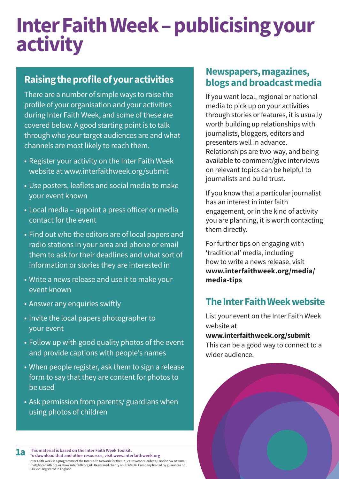# **InterFaithWeek–publicisingyour activity**

# **Raisingtheprofileofyouractivities**

There are a number of simple ways to raise the profile of your organisation and your activities during Inter Faith Week, and some of these are covered below. A good starting point is to talk through who your target audiences are and what channels are most likely to reach them.

- Register your activity on the Inter Faith Week website at www.interfaithweek.org/submit
- Use posters, leaflets and social media to make your event known
- Local media appoint a press officer or media contact for the event
- Find out who the editors are of local papers and radio stations in your area and phone or email them to ask for their deadlines and what sort of information or stories they are interested in
- Write a news release and use it to make your event known
- Answer any enquiries swiftly
- Invite the local papers photographer to your event
- Follow up with good quality photos of the event and provide captions with people's names
- When people register, ask them to sign a release form to say that they are content for photos to be used
- Ask permission from parents/ guardians when using photos of children

### **Newspapers,magazines, blogs andbroadcastmedia**

If you want local, regional or national media to pick up on your activities through stories or features, it is usually worth building up relationships with journalists, bloggers, editors and presenters well in advance. Relationships are two-way, and being available to comment/give interviews on relevant topics can be helpful to journalists and build trust.

If you know that a particular journalist has an interest in inter faith engagement, or in the kind of activity you are planning, it is worth contacting them directly.

For further tips on engaging with 'traditional' media, including how to write a news release, visit **[www.interfaithweek.org/media/](www.interfaithweek.org/media/ media-tips) [media-tips](www.interfaithweek.org/media/ media-tips)**

## **The Inter Faith Week website**

List your event on the Inter Faith Week website at **www.interfaithweek.org/submit**

This can be a good way to connect to a wider audience.



**This material is based on the Inter Faith Week Toolkit. To download that and otherresources, visit www.interfaithweek.org** Inter Faith Week is a programme of the Inter Faith Network for the UK, 2 Grosvenor Gardens, London SW1W 0DH. ifnet@interfaith.org.uk www.interfaith.org.uk Registered charity no. 1068934. Company limited by guarantee no. 3443823 registered in England **1a**